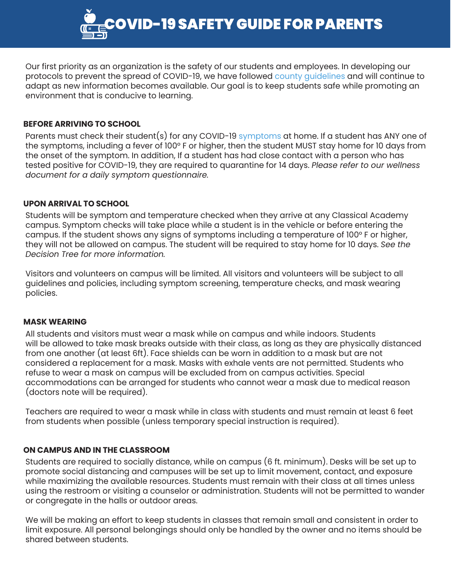OVID-19 SAFETY GUIDE FOR PARENTS

Our first priority as an organization is the safety of our students and employees. In developing our protocols to prevent the spread of COVID-19, we have followed [county guidelines](https://www.sandiegocounty.gov/content/sdc/hhsa/programs/phs/community_epidemiology/dc/2019-nCoV/CommunitySectors/Schools_SDCOE_K12.html) and will continue to adapt as new information becomes available. Our goal is to keep students safe while promoting an environment that is conducive to learning.

# **BEFORE ARRIVING TO SCHOOL**

Parents must check their student(s) for any COVID-19 [symptoms](https://www.sandiegocounty.gov/content/dam/sdc/hhsa/programs/phs/Epidemiology/Coronavirus%20Fact%20Sheet_ENGLISH.pdf) at home. If a student has ANY one of the symptoms, including a fever of 100° F or higher, then the student MUST stay home for 10 days from the onset of the symptom. In addition, If a student has had close contact with a person who has tested positive for COVID-19, they are required to quarantine for 14 days. *Please refer to our wellness document for a daily symptom questionnaire.*

## **UPON ARRIVAL TO SCHOOL**

Students will be symptom and temperature checked when they arrive at any Classical Academy campus. Symptom checks will take place while a student is in the vehicle or before entering the campus. If the student shows any signs of symptoms including a temperature of 100° F or higher, they will not be allowed on campus. The student will be required to stay home for 10 days. *See the Decision Tree for more information.*

Visitors and volunteers on campus will be limited. All visitors and volunteers will be subject to all guidelines and policies, including symptom screening, temperature checks, and mask wearing policies.

## **MASK WEARING**

All students and visitors must wear a mask while on campus and while indoors. Students will be allowed to take mask breaks outside with their class, as long as they are physically distanced from one another (at least 6ft). Face shields can be worn in addition to a mask but are not considered a replacement for a mask. Masks with exhale vents are not permitted. Students who refuse to wear a mask on campus will be excluded from on campus activities. Special accommodations can be arranged for students who cannot wear a mask due to medical reason (doctors note will be required).

Teachers are required to wear a mask while in class with students and must remain at least 6 feet from students when possible (unless temporary special instruction is required).

## **ON CAMPUS AND IN THE CLASSROOM**

Students are required to socially distance, while on campus (6 ft. minimum). Desks will be set up to promote social distancing and campuses will be set up to limit movement, contact, and exposure while maximizing the available resources. Students must remain with their class at all times unless using the restroom or visiting a counselor or administration. Students will not be permitted to wander or congregate in the halls or outdoor areas.

We will be making an effort to keep students in classes that remain small and consistent in order to limit exposure. All personal belongings should only be handled by the owner and no items should be shared between students.